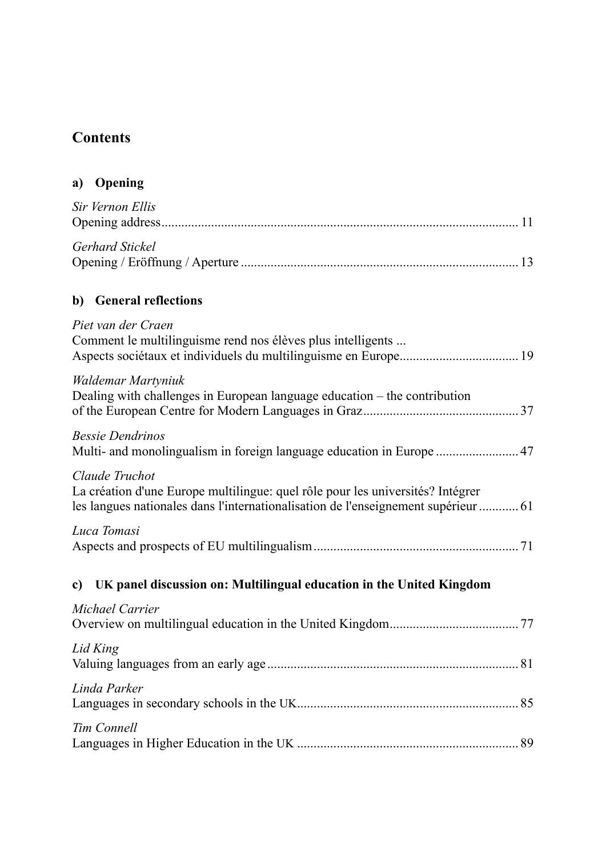## **Contents**

| Sir Vernon Ellis |  |
|------------------|--|
| Gerhard Stickel  |  |

## **b) General reflections**

| Piet van der Craen<br>Comment le multilinguisme rend nos élèves plus intelligents                                                                                                      |
|----------------------------------------------------------------------------------------------------------------------------------------------------------------------------------------|
| Waldemar Martyniuk<br>Dealing with challenges in European language education – the contribution                                                                                        |
| <b>Bessie Dendrinos</b><br>Multi- and monolingualism in foreign language education in Europe  47                                                                                       |
| Claude Truchot<br>La création d'une Europe multilingue: quel rôle pour les universités? Intégrer<br>les langues nationales dans l'internationalisation de l'enseignement supérieur  61 |
| Luca Tomasi                                                                                                                                                                            |
| c) UK panel discussion on: Multilingual education in the United Kingdom                                                                                                                |
| Michael Carrier                                                                                                                                                                        |
| Lid King                                                                                                                                                                               |
| Linda Parker                                                                                                                                                                           |
| Tim Connell                                                                                                                                                                            |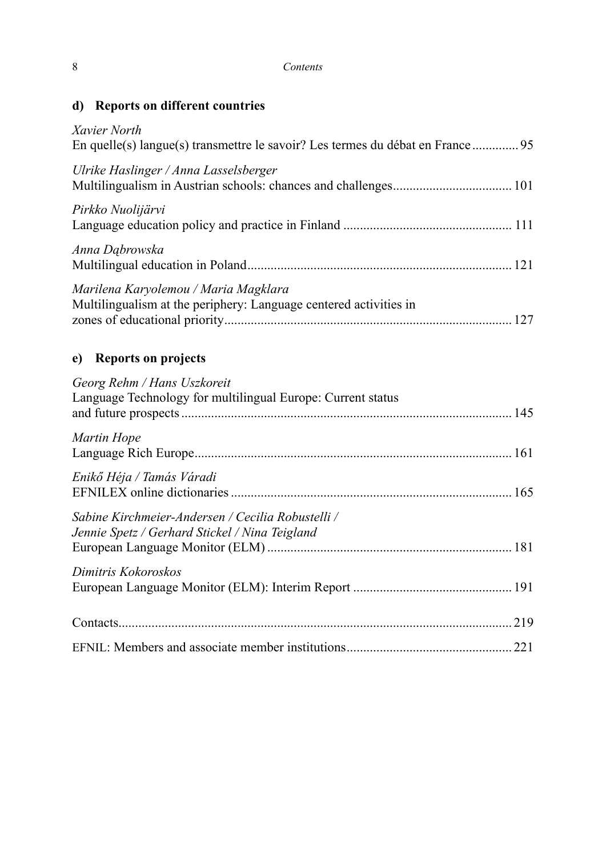| d) Reports on different countries |  |  |  |
|-----------------------------------|--|--|--|
|-----------------------------------|--|--|--|

| Xavier North<br>En quelle(s) langue(s) transmettre le savoir? Les termes du débat en France               |  |
|-----------------------------------------------------------------------------------------------------------|--|
| Ulrike Haslinger / Anna Lasselsberger                                                                     |  |
| Pirkko Nuolijärvi                                                                                         |  |
| Anna Dąbrowska                                                                                            |  |
| Marilena Karyolemou / Maria Magklara<br>Multilingualism at the periphery: Language centered activities in |  |
| <b>Reports on projects</b><br>e)                                                                          |  |
| Georg Rehm / Hans Uszkoreit<br>Language Technology for multilingual Europe: Current status                |  |
| Martin Hope                                                                                               |  |
| Enikő Héja / Tamás Váradi                                                                                 |  |
| Sabine Kirchmeier-Andersen / Cecilia Robustelli /<br>Jennie Spetz / Gerhard Stickel / Nina Teigland       |  |
| Dimitris Kokoroskos                                                                                       |  |
|                                                                                                           |  |
|                                                                                                           |  |